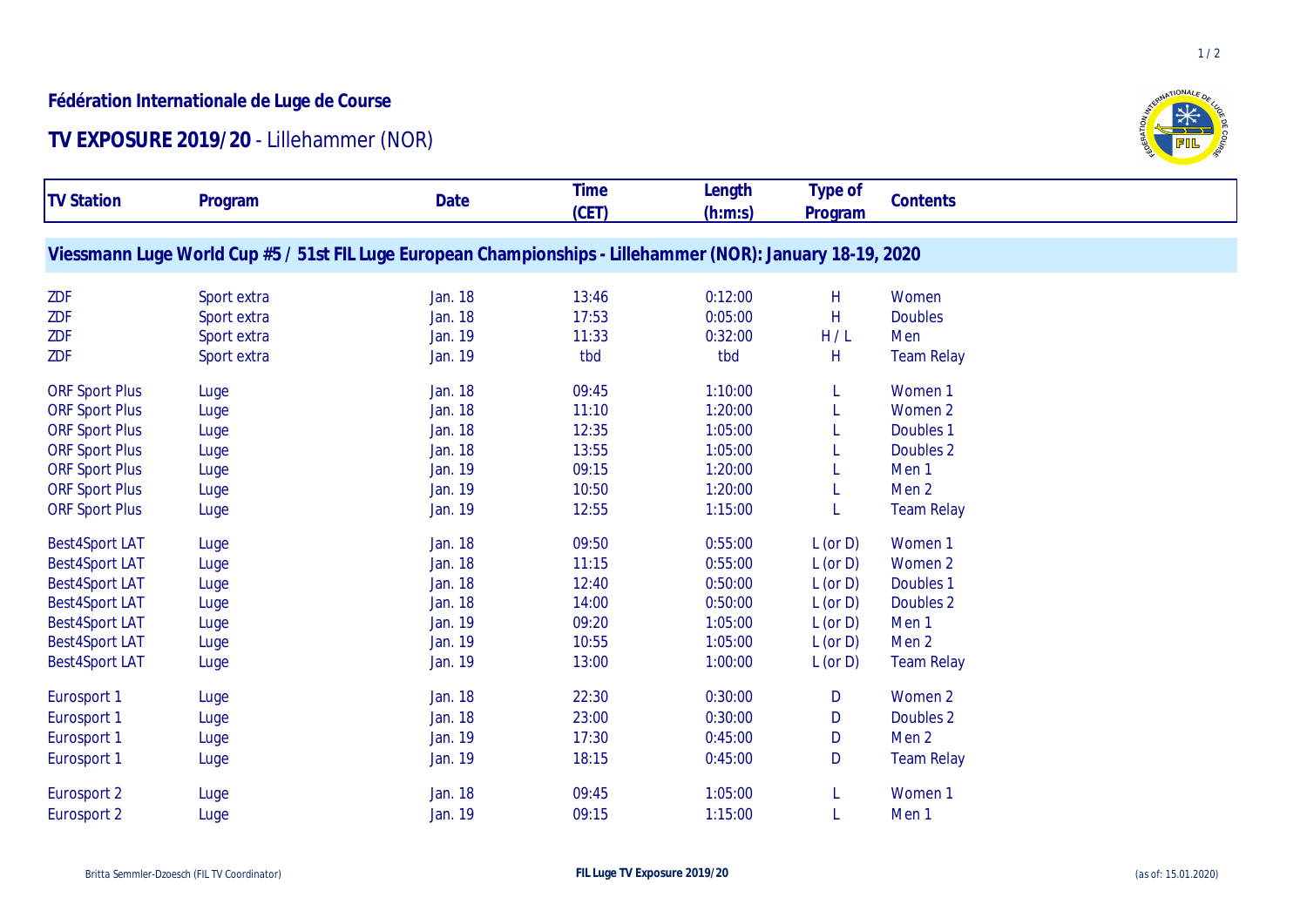## **Fédération Internationale de Luge de Course**

## **TV EXPOSURE 2019/20** - Lillehammer (NOR)



| <b>TV Station</b>     | Program                                                                                                     | Date    | <b>Time</b><br>(CET) | Length<br>(h:m:s) | Type of<br>Program | Contents          |
|-----------------------|-------------------------------------------------------------------------------------------------------------|---------|----------------------|-------------------|--------------------|-------------------|
|                       | Viessmann Luge World Cup #5 / 51st FIL Luge European Championships - Lillehammer (NOR): January 18-19, 2020 |         |                      |                   |                    |                   |
| ZDF                   | Sport extra                                                                                                 | Jan. 18 | 13:46                | 0:12:00           | H                  | Women             |
| <b>ZDF</b>            | Sport extra                                                                                                 | Jan. 18 | 17:53                | 0:05:00           | H                  | <b>Doubles</b>    |
| ZDF                   | Sport extra                                                                                                 | Jan. 19 | 11:33                | 0:32:00           | H/L                | Men               |
| ZDF                   | Sport extra                                                                                                 | Jan. 19 | tbd                  | tbd               | H                  | <b>Team Relay</b> |
| <b>ORF Sport Plus</b> | Luge                                                                                                        | Jan. 18 | 09:45                | 1:10:00           | L                  | Women 1           |
| <b>ORF Sport Plus</b> | Luge                                                                                                        | Jan. 18 | 11:10                | 1:20:00           |                    | Women 2           |
| <b>ORF Sport Plus</b> | Luge                                                                                                        | Jan. 18 | 12:35                | 1:05:00           |                    | Doubles 1         |
| <b>ORF Sport Plus</b> | Luge                                                                                                        | Jan. 18 | 13:55                | 1:05:00           |                    | Doubles 2         |
| <b>ORF Sport Plus</b> | Luge                                                                                                        | Jan. 19 | 09:15                | 1:20:00           |                    | Men <sub>1</sub>  |
| <b>ORF Sport Plus</b> | Luge                                                                                                        | Jan. 19 | 10:50                | 1:20:00           |                    | Men <sub>2</sub>  |
| <b>ORF Sport Plus</b> | Luge                                                                                                        | Jan. 19 | 12:55                | 1:15:00           |                    | <b>Team Relay</b> |
| <b>Best4Sport LAT</b> | Luge                                                                                                        | Jan. 18 | 09:50                | 0:55:00           | $L$ (or $D$ )      | Women 1           |
| <b>Best4Sport LAT</b> | Luge                                                                                                        | Jan. 18 | 11:15                | 0:55:00           | $L$ (or $D$ )      | Women 2           |
| <b>Best4Sport LAT</b> | Luge                                                                                                        | Jan. 18 | 12:40                | 0:50:00           | $L$ (or $D$ )      | Doubles 1         |
| <b>Best4Sport LAT</b> | Luge                                                                                                        | Jan. 18 | 14:00                | 0:50:00           | $L$ (or $D$ )      | Doubles 2         |
| <b>Best4Sport LAT</b> | Luge                                                                                                        | Jan. 19 | 09:20                | 1:05:00           | $L$ (or $D$ )      | Men <sub>1</sub>  |
| <b>Best4Sport LAT</b> | Luge                                                                                                        | Jan. 19 | 10:55                | 1:05:00           | $L$ (or $D$ )      | Men <sub>2</sub>  |
| <b>Best4Sport LAT</b> | Luge                                                                                                        | Jan. 19 | 13:00                | 1:00:00           | $L$ (or $D$ )      | <b>Team Relay</b> |
| Eurosport 1           | Luge                                                                                                        | Jan. 18 | 22:30                | 0:30:00           | D                  | Women 2           |
| Eurosport 1           | Luge                                                                                                        | Jan. 18 | 23:00                | 0:30:00           | D                  | Doubles 2         |
| Eurosport 1           | Luge                                                                                                        | Jan. 19 | 17:30                | 0:45:00           | D                  | Men <sub>2</sub>  |
| Eurosport 1           | Luge                                                                                                        | Jan. 19 | 18:15                | 0:45:00           | D                  | <b>Team Relay</b> |
| Eurosport 2           | Luge                                                                                                        | Jan. 18 | 09:45                | 1:05:00           |                    | Women 1           |
| Eurosport 2           | Luge                                                                                                        | Jan. 19 | 09:15                | 1:15:00           |                    | Men <sub>1</sub>  |